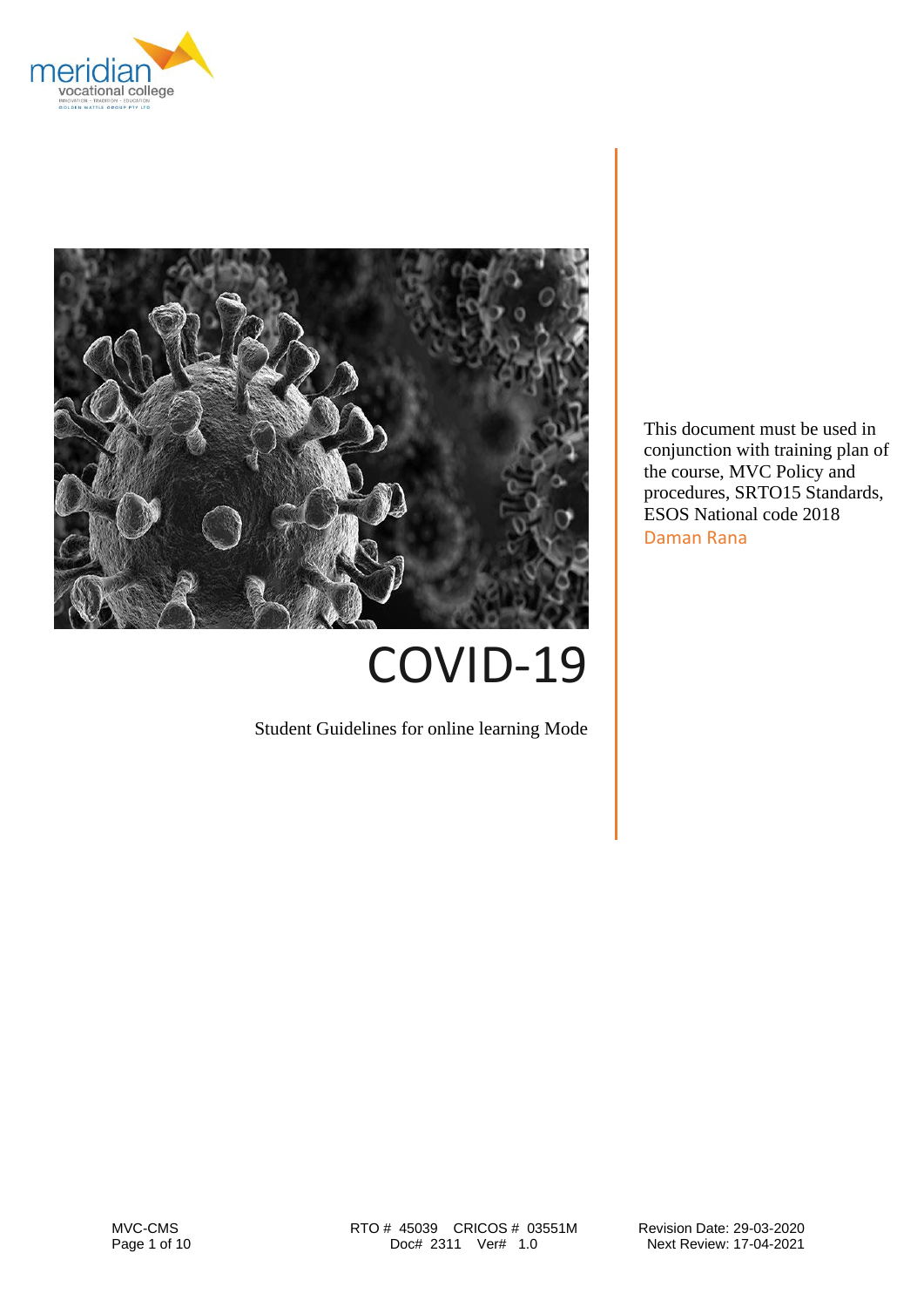



COVID-19

Student Guidelines for online learning Mode

This document must be used in conjunction with training plan of the course, MVC Policy and procedures, SRTO15 Standards, ESOS National code 2018 Daman Rana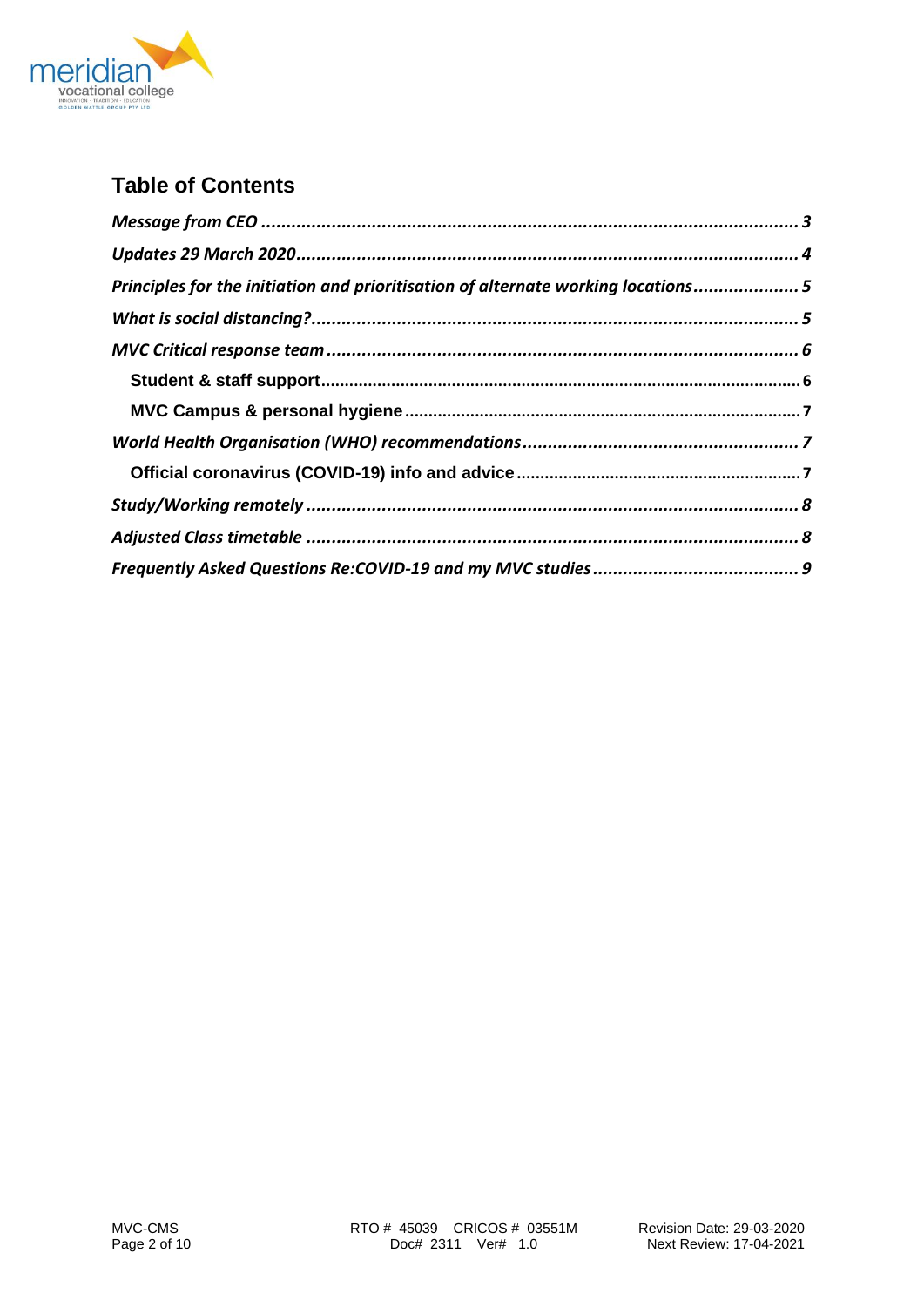

# **Table of Contents**

| Principles for the initiation and prioritisation of alternate working locations 5 |  |
|-----------------------------------------------------------------------------------|--|
|                                                                                   |  |
|                                                                                   |  |
|                                                                                   |  |
|                                                                                   |  |
|                                                                                   |  |
|                                                                                   |  |
|                                                                                   |  |
|                                                                                   |  |
|                                                                                   |  |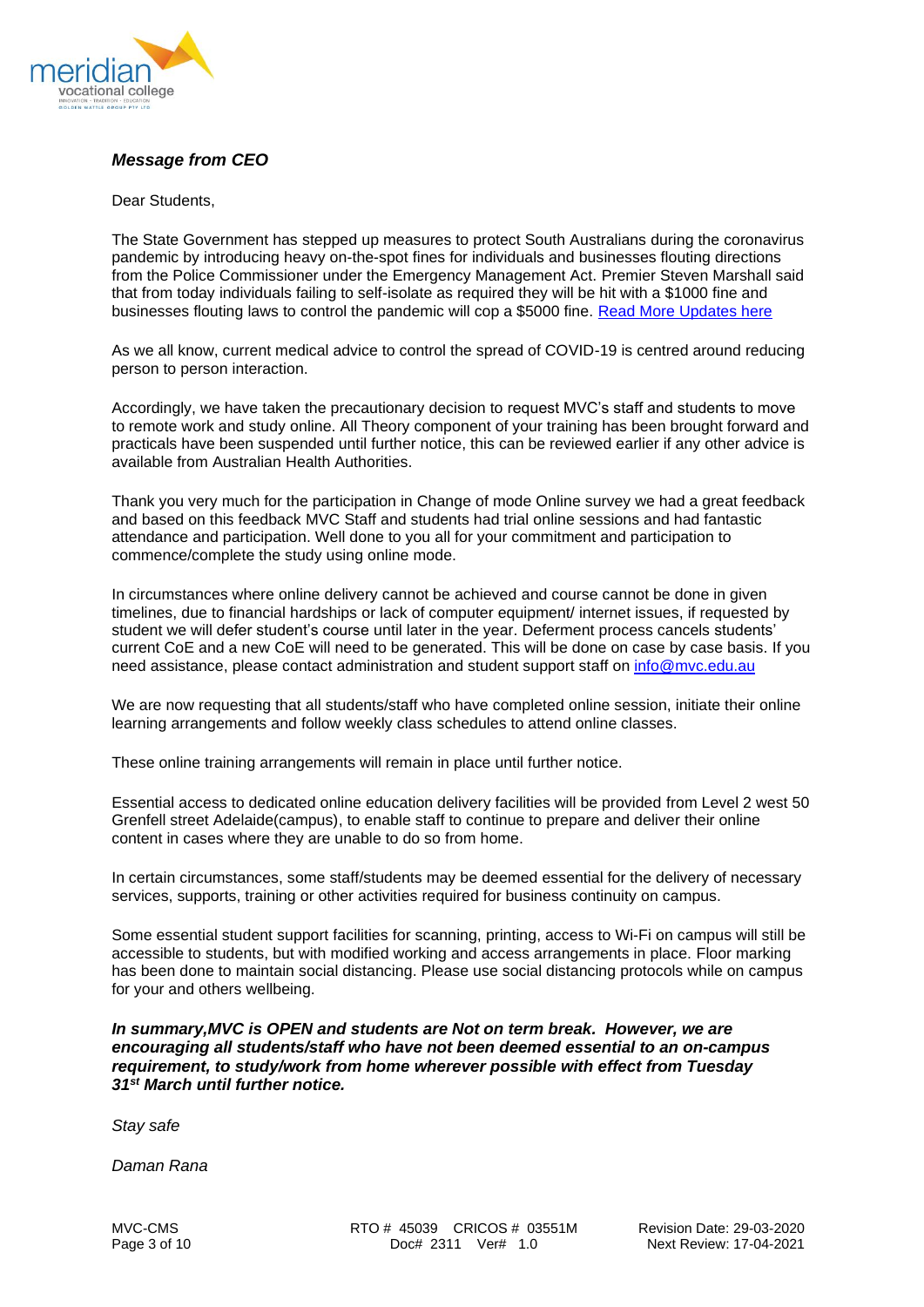

# <span id="page-2-0"></span>*Message from CEO*

#### Dear Students,

The State Government has stepped up measures to protect South Australians during the coronavirus pandemic by introducing heavy on-the-spot fines for individuals and businesses flouting directions from the Police Commissioner under the Emergency Management Act. Premier Steven Marshall said that from today individuals failing to self-isolate as required they will be hit with a \$1000 fine and businesses flouting laws to control the pandemic will cop a \$5000 fine. [Read More Updates here](https://www.premier.sa.gov.au/news/media-releases)

As we all know, current medical advice to control the spread of COVID-19 is centred around reducing person to person interaction.

Accordingly, we have taken the precautionary decision to request MVC's staff and students to move to remote work and study online. All Theory component of your training has been brought forward and practicals have been suspended until further notice, this can be reviewed earlier if any other advice is available from Australian Health Authorities.

Thank you very much for the participation in Change of mode Online survey we had a great feedback and based on this feedback MVC Staff and students had trial online sessions and had fantastic attendance and participation. Well done to you all for your commitment and participation to commence/complete the study using online mode.

In circumstances where online delivery cannot be achieved and course cannot be done in given timelines, due to financial hardships or lack of computer equipment/ internet issues, if requested by student we will defer student's course until later in the year. Deferment process cancels students' current CoE and a new CoE will need to be generated. This will be done on case by case basis. If you need assistance, please contact administration and student support staff on [info@mvc.edu.au](mailto:info@mvc.edu.au)

We are now requesting that all students/staff who have completed online session, initiate their online learning arrangements and follow weekly class schedules to attend online classes.

These online training arrangements will remain in place until further notice.

Essential access to dedicated online education delivery facilities will be provided from Level 2 west 50 Grenfell street Adelaide(campus), to enable staff to continue to prepare and deliver their online content in cases where they are unable to do so from home.

In certain circumstances, some staff/students may be deemed essential for the delivery of necessary services, supports, training or other activities required for business continuity on campus.

Some essential student support facilities for scanning, printing, access to Wi-Fi on campus will still be accessible to students, but with modified working and access arrangements in place. Floor marking has been done to maintain social distancing. Please use social distancing protocols while on campus for your and others wellbeing.

*In summary,MVC is OPEN and students are Not on term break. However, we are encouraging all students/staff who have not been deemed essential to an on-campus requirement, to study/work from home wherever possible with effect from Tuesday 31st March until further notice.*

*Stay safe*

*Daman Rana*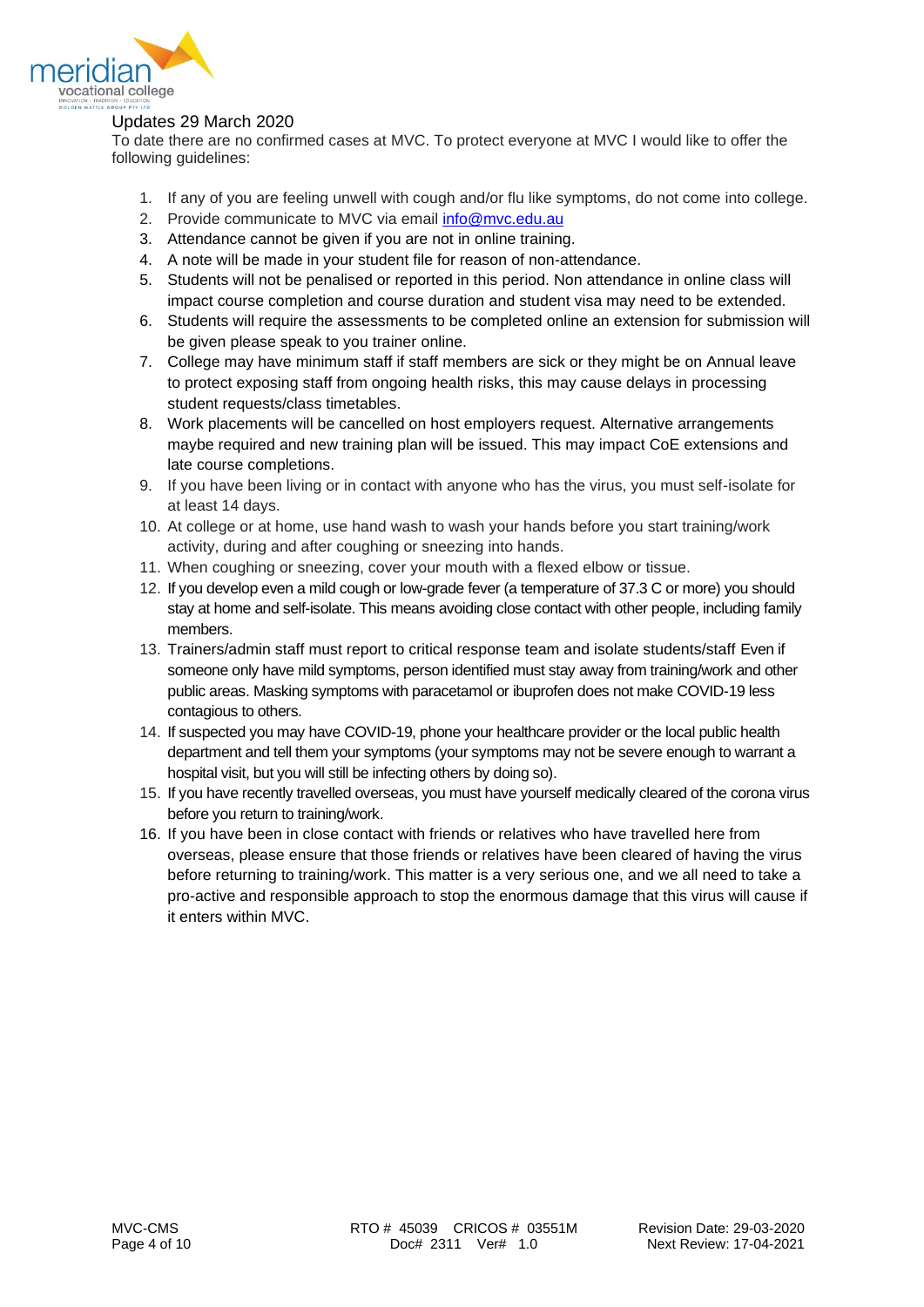

# <span id="page-3-0"></span>Updates 29 March 2020

To date there are no confirmed cases at MVC. To protect everyone at MVC I would like to offer the following guidelines:

- 1. If any of you are feeling unwell with cough and/or flu like symptoms, do not come into college.
- 2. Provide communicate to MVC via email [info@mvc.edu.au](mailto:info@mvc.edu.au)
- 3. Attendance cannot be given if you are not in online training.
- 4. A note will be made in your student file for reason of non-attendance.
- 5. Students will not be penalised or reported in this period. Non attendance in online class will impact course completion and course duration and student visa may need to be extended.
- 6. Students will require the assessments to be completed online an extension for submission will be given please speak to you trainer online.
- 7. College may have minimum staff if staff members are sick or they might be on Annual leave to protect exposing staff from ongoing health risks, this may cause delays in processing student requests/class timetables.
- 8. Work placements will be cancelled on host employers request. Alternative arrangements maybe required and new training plan will be issued. This may impact CoE extensions and late course completions.
- 9. If you have been living or in contact with anyone who has the virus, you must self-isolate for at least 14 days.
- 10. At college or at home, use hand wash to wash your hands before you start training/work activity, during and after coughing or sneezing into hands.
- 11. When coughing or sneezing, cover your mouth with a flexed elbow or tissue.
- 12. If you develop even a mild cough or low-grade fever (a temperature of 37.3 C or more) you should stay at home and self-isolate. This means avoiding close contact with other people, including family members.
- 13. Trainers/admin staff must report to critical response team and isolate students/staff Even if someone only have mild symptoms, person identified must stay away from training/work and other public areas. Masking symptoms with paracetamol or ibuprofen does not make COVID-19 less contagious to others.
- 14. If suspected you may have COVID-19, phone your healthcare provider or the local public health department and tell them your symptoms (your symptoms may not be severe enough to warrant a hospital visit, but you will still be infecting others by doing so).
- 15. If you have recently travelled overseas, you must have yourself medically cleared of the corona virus before you return to training/work.
- 16. If you have been in close contact with friends or relatives who have travelled here from overseas, please ensure that those friends or relatives have been cleared of having the virus before returning to training/work. This matter is a very serious one, and we all need to take a pro-active and responsible approach to stop the enormous damage that this virus will cause if it enters within MVC.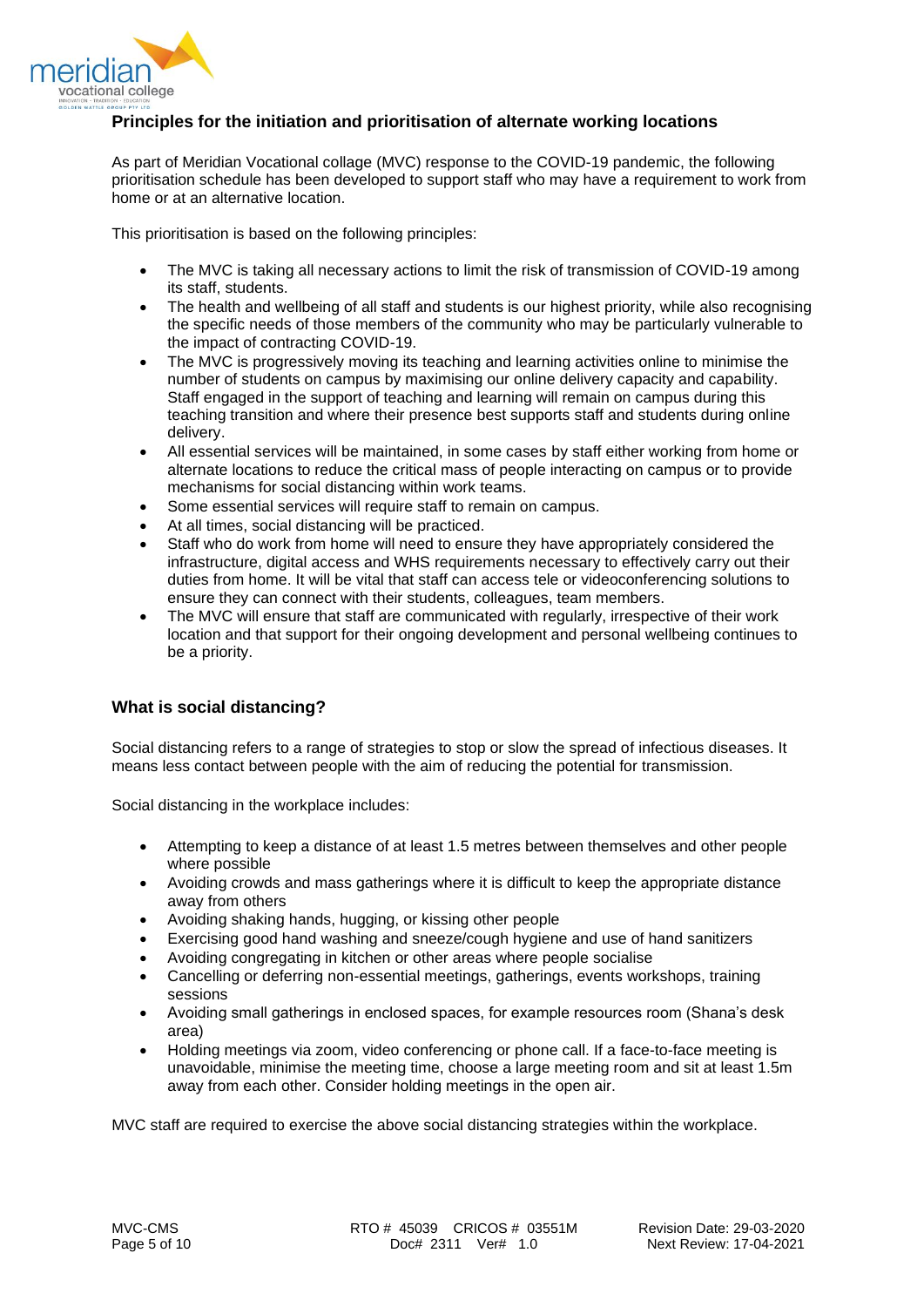

# <span id="page-4-0"></span>**Principles for the initiation and prioritisation of alternate working locations**

As part of Meridian Vocational collage (MVC) response to the COVID-19 pandemic, the following prioritisation schedule has been developed to support staff who may have a requirement to work from home or at an alternative location.

This prioritisation is based on the following principles:

- The MVC is taking all necessary actions to limit the risk of transmission of COVID-19 among its staff, students.
- The health and wellbeing of all staff and students is our highest priority, while also recognising the specific needs of those members of the community who may be particularly vulnerable to the impact of contracting COVID-19.
- The MVC is progressively moving its teaching and learning activities online to minimise the number of students on campus by maximising our online delivery capacity and capability. Staff engaged in the support of teaching and learning will remain on campus during this teaching transition and where their presence best supports staff and students during online delivery.
- All essential services will be maintained, in some cases by staff either working from home or alternate locations to reduce the critical mass of people interacting on campus or to provide mechanisms for social distancing within work teams.
- Some essential services will require staff to remain on campus.
- At all times, social distancing will be practiced.
- Staff who do work from home will need to ensure they have appropriately considered the infrastructure, digital access and WHS requirements necessary to effectively carry out their duties from home. It will be vital that staff can access tele or videoconferencing solutions to ensure they can connect with their students, colleagues, team members.
- The MVC will ensure that staff are communicated with regularly, irrespective of their work location and that support for their ongoing development and personal wellbeing continues to be a priority.

# <span id="page-4-1"></span>**What is social distancing?**

Social distancing refers to a range of strategies to stop or slow the spread of infectious diseases. It means less contact between people with the aim of reducing the potential for transmission.

Social distancing in the workplace includes:

- Attempting to keep a distance of at least 1.5 metres between themselves and other people where possible
- Avoiding crowds and mass gatherings where it is difficult to keep the appropriate distance away from others
- Avoiding shaking hands, hugging, or kissing other people
- Exercising good hand washing and sneeze/cough hygiene and use of hand sanitizers
- Avoiding congregating in kitchen or other areas where people socialise
- Cancelling or deferring non-essential meetings, gatherings, events workshops, training sessions
- Avoiding small gatherings in enclosed spaces, for example resources room (Shana's desk area)
- Holding meetings via zoom, video conferencing or phone call. If a face-to-face meeting is unavoidable, minimise the meeting time, choose a large meeting room and sit at least 1.5m away from each other. Consider holding meetings in the open air.

MVC staff are required to exercise the above social distancing strategies within the workplace.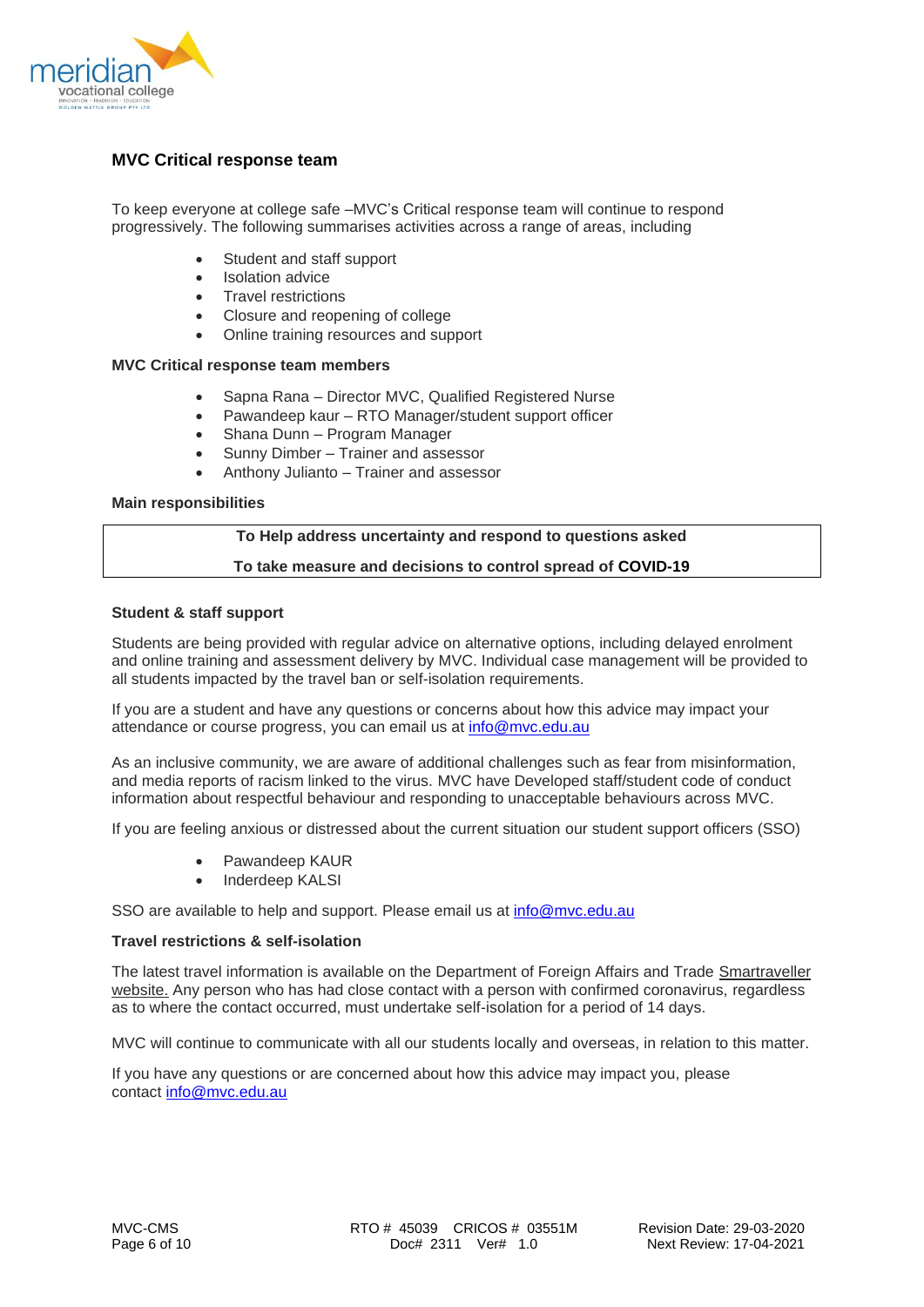

# <span id="page-5-0"></span>**MVC Critical response team**

To keep everyone at college safe –MVC's Critical response team will continue to respond progressively. The following summarises activities across a range of areas, including

- Student and staff support
- **Isolation advice**
- Travel restrictions
- Closure and reopening of college
- Online training resources and support

## **MVC Critical response team members**

- Sapna Rana Director MVC, Qualified Registered Nurse
- Pawandeep kaur RTO Manager/student support officer
- Shana Dunn Program Manager
- Sunny Dimber Trainer and assessor
- Anthony Julianto Trainer and assessor

## **Main responsibilities**

#### **To Help address uncertainty and respond to questions asked**

## **To take measure and decisions to control spread of COVID-19**

## <span id="page-5-1"></span>**Student & staff support**

Students are being provided with regular advice on alternative options, including delayed enrolment and online training and assessment delivery by MVC. Individual case management will be provided to all students impacted by the travel ban or self-isolation requirements.

If you are a student and have any questions or concerns about how this advice may impact your attendance or course progress, you can email us at [info@mvc.edu.au](mailto:info@mvc.edu.au)

As an inclusive community, we are aware of additional challenges such as fear from misinformation, and media reports of racism linked to the virus. MVC have Developed staff/student code of conduct information about respectful behaviour and responding to unacceptable behaviours across MVC.

If you are feeling anxious or distressed about the current situation our student support officers (SSO)

- Pawandeep KAUR
- Inderdeep KALSI

SSO are available to help and support. Please email us at [info@mvc.edu.au](mailto:info@mvc.edu.au)

#### **Travel restrictions & self-isolation**

The latest travel information is available on the Department of Foreign Affairs and Trade [Smartraveller](https://www.smartraveller.gov.au/news-and-updates/novel-coronavirus-outbreak)  [website.](https://www.smartraveller.gov.au/news-and-updates/novel-coronavirus-outbreak) Any person who has had close contact with a person with confirmed coronavirus, regardless as to where the contact occurred, must undertake self-isolation for a period of 14 days.

MVC will continue to communicate with all our students locally and overseas, in relation to this matter.

If you have any questions or are concerned about how this advice may impact you, please contact [info@mvc.edu.au](mailto:info@mvc.edu.au)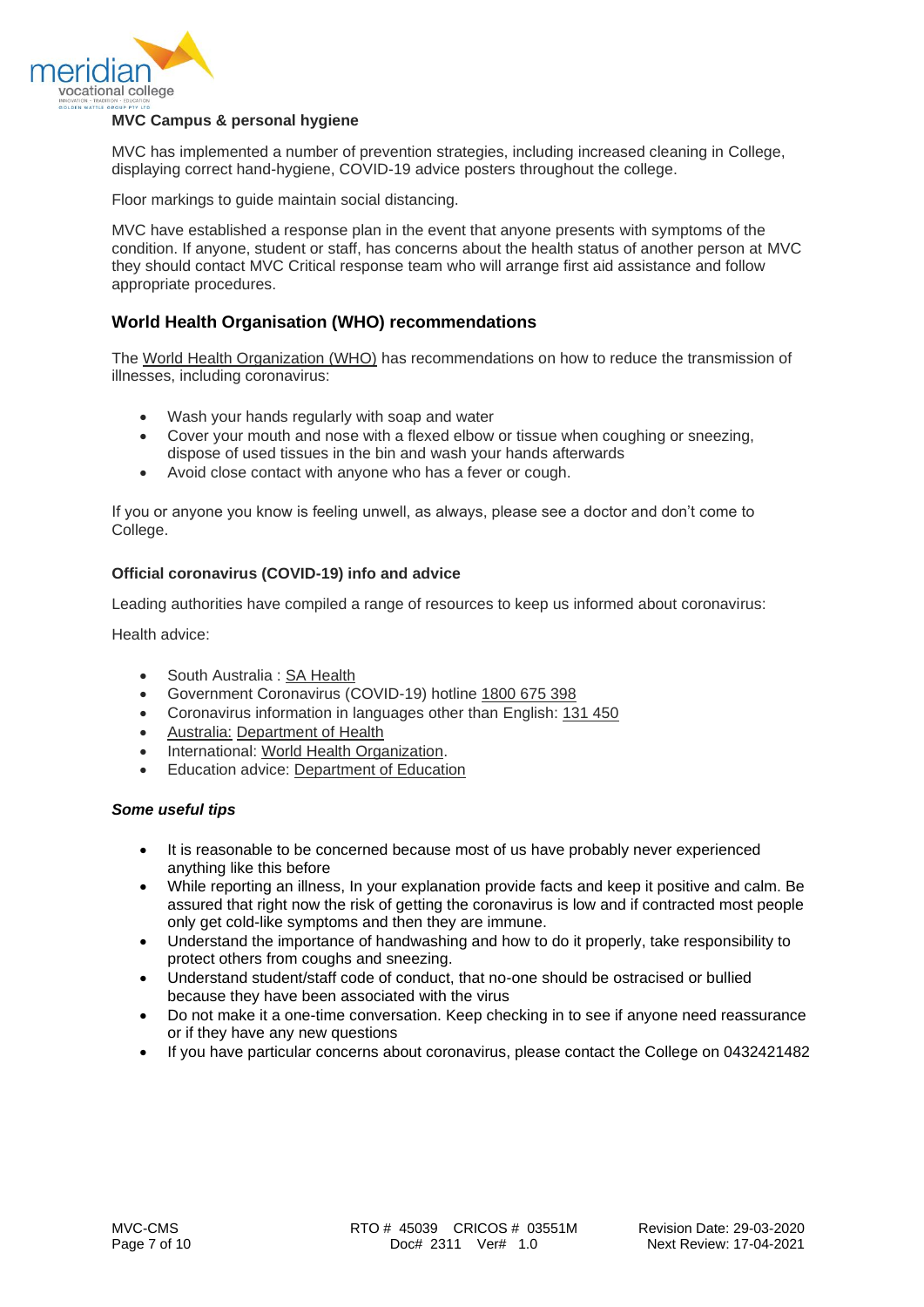

# <span id="page-6-0"></span>**MVC Campus & personal hygiene**

MVC has implemented a number of prevention strategies, including increased cleaning in College, displaying correct hand-hygiene, COVID-19 advice posters throughout the college.

Floor markings to guide maintain social distancing.

MVC have established a response plan in the event that anyone presents with symptoms of the condition. If anyone, student or staff, has concerns about the health status of another person at MVC they should contact MVC Critical response team who will arrange first aid assistance and follow appropriate procedures.

# <span id="page-6-1"></span>**World Health Organisation (WHO) recommendations**

The [World Health Organization \(WHO\)](https://www.who.int/emergencies/diseases/novel-coronavirus-2019/advice-for-public) has recommendations on how to reduce the transmission of illnesses, including coronavirus:

- Wash your hands regularly with soap and water
- Cover your mouth and nose with a flexed elbow or tissue when coughing or sneezing, dispose of used tissues in the bin and wash your hands afterwards
- Avoid close contact with anyone who has a fever or cough.

If you or anyone you know is feeling unwell, as always, please see a doctor and don't come to College.

## <span id="page-6-2"></span>**Official coronavirus (COVID-19) info and advice**

Leading authorities have compiled a range of resources to keep us informed about coronavirus:

Health advice:

- South Australia : SA Health
- Government Coronavirus (COVID-19) hotline [1800 675 398](tel:+611800675398)
- Coronavirus information in languages other than English: [131 450](tel:+61131450)
- [Australia:](tel:+61131450) [Department of Health](https://www.health.gov.au/news/health-alerts/novel-coronavirus-2019-ncov-health-alert)
- International: [World Health Organization.](https://www.who.int/emergencies/diseases/novel-coronavirus-2019/advice-for-public)
- Education advice: [Department of Education](https://education.govcms.gov.au/novel-coronavirus-2019-ncov)

## *Some useful tips*

- It is reasonable to be concerned because most of us have probably never experienced anything like this before
- While reporting an illness, In your explanation provide facts and keep it positive and calm. Be assured that right now the risk of getting the coronavirus is low and if contracted most people only get cold-like symptoms and then they are immune.
- Understand the importance of handwashing and how to do it properly, take responsibility to protect others from coughs and sneezing.
- Understand student/staff code of conduct, that no-one should be ostracised or bullied because they have been associated with the virus
- Do not make it a one-time conversation. Keep checking in to see if anyone need reassurance or if they have any new questions
- If you have particular concerns about coronavirus, please contact the College on 0432421482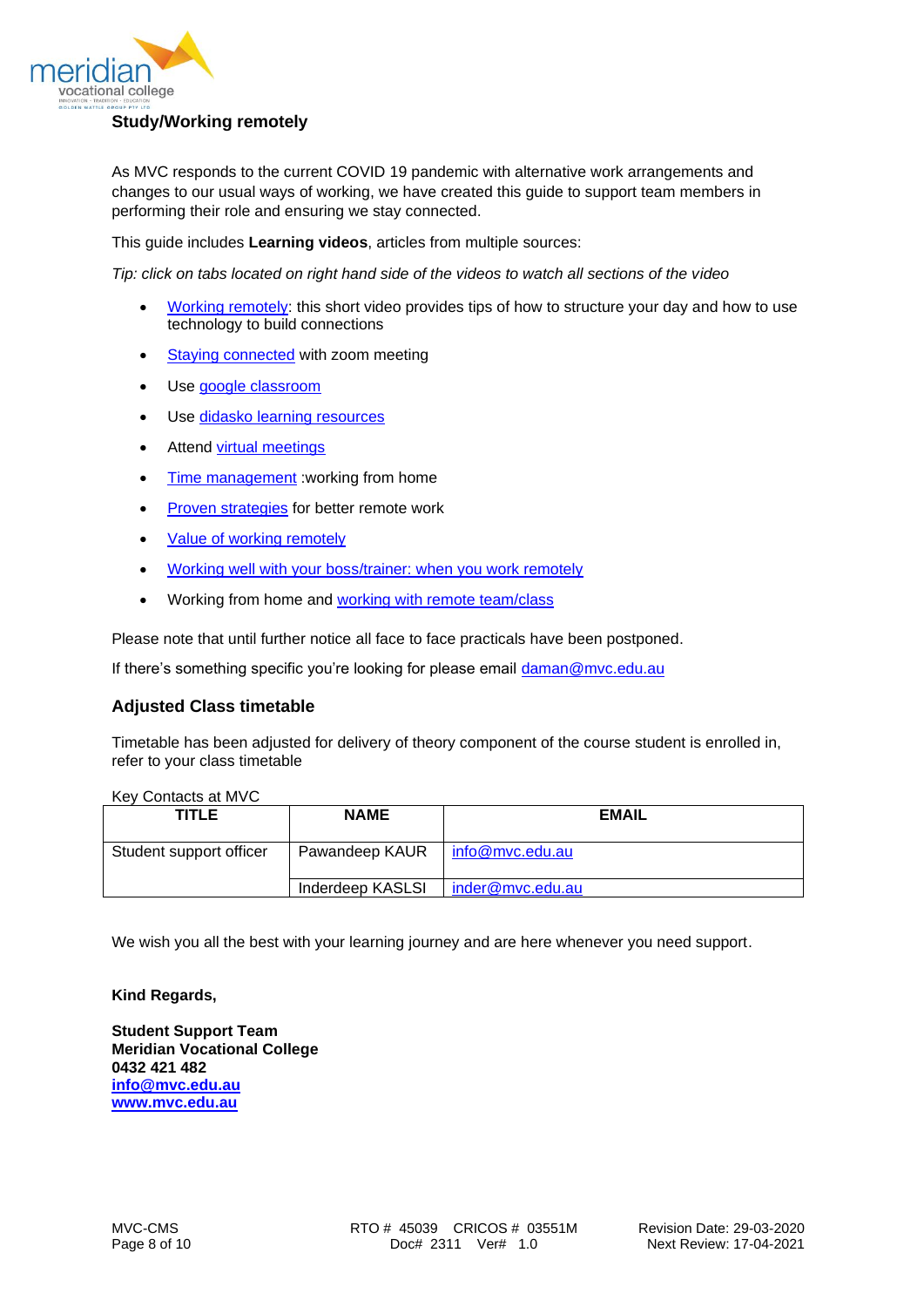

<span id="page-7-0"></span>As MVC responds to the current COVID 19 pandemic with alternative work arrangements and changes to our usual ways of working, we have created this guide to support team members in performing their role and ensuring we stay connected.

This guide includes **Learning videos**, articles from multiple sources:

*Tip: click on tabs located on right hand side of the videos to watch all sections of the video*

- [Working remotely:](https://www.linkedin.com/learning/working-remotely-2015/structuring-your-day?u=58640609) this short video provides tips of how to structure your day and how to use technology to build connections
- [Staying connected](https://www.linkedin.com/learning/learning-zoom/stay-connected-with-zoom-meetings?u=58640609) with zoom meeting
- Use [google classroom](https://www.youtube.com/watch?v=rCNImsWUxZA)
- Use [didasko learning resources](https://www.youtube.com/watch?v=LTpxlYvMcoQ)
- Attend [virtual meetings](https://www.linkedin.com/learning/leading-virtual-meetings/welcome-to-better-virtual-meetings?u=58640609)
- [Time management](https://www.linkedin.com/learning/time-management-working-from-home/what-you-should-know-before-watching?u=58640609) : working from home
- [Proven strategies](https://zapier.com/blog/productive-remote-work/) for better remote work
- [Value of working remotely](https://www.linkedin.com/learning/working-remotely-2/the-value-of-working-remotely?u=58640609)
- [Working well with your boss/trainer: when you work remotely](https://hbr.org/video/4716647008001/working-well-with-your-boss-when-you-work-remotely)
- Working from home and [working with remote team/](https://hbr.org/video/5812716214001/the-explainer-how-to-collaborate-effectively-if-your-team-is-remote)class

Please note that until further notice all face to face practicals have been postponed.

If there's something specific you're looking for please email [daman@mvc.edu.au](mailto:daman@mvc.edu.au)

# <span id="page-7-1"></span>**Adjusted Class timetable**

Timetable has been adjusted for delivery of theory component of the course student is enrolled in, refer to your class timetable

| Key Contacts at MVC     |                         |                  |
|-------------------------|-------------------------|------------------|
| <b>TITLE</b>            | <b>NAME</b>             | <b>EMAIL</b>     |
|                         |                         |                  |
| Student support officer | Pawandeep KAUR          | info@mvc.edu.au  |
|                         | <b>Inderdeep KASLSI</b> | inder@mvc.edu.au |

We wish you all the best with your learning journey and are here whenever you need support.

#### **Kind Regards,**

**Student Support Team Meridian Vocational College 0432 421 482 [info@mvc.edu.au](mailto:info@mvc.edu.au) [www.mvc.edu.au](http://www.mvc.edu.au/)**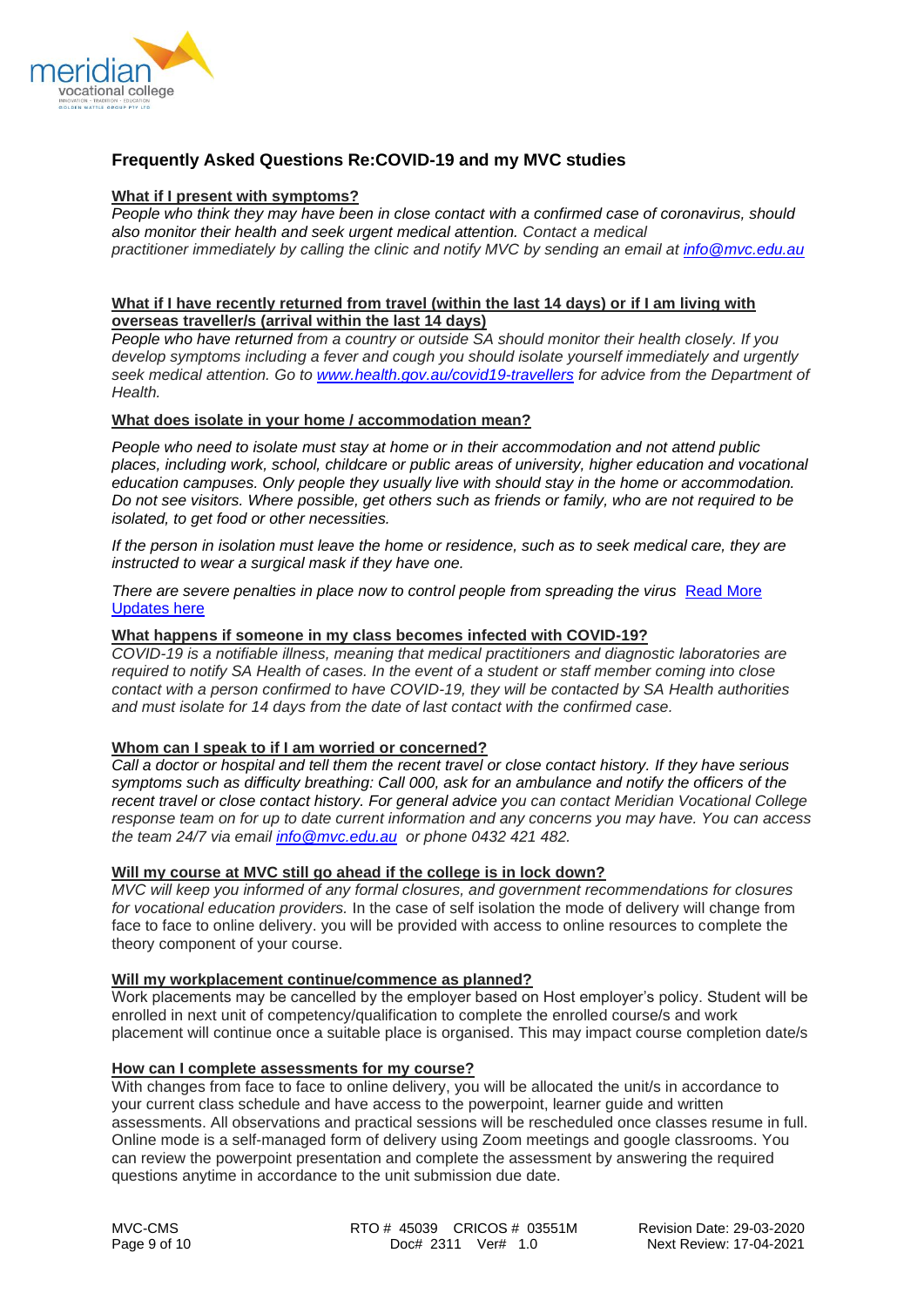

# <span id="page-8-0"></span>**Frequently Asked Questions Re:COVID-19 and my MVC studies**

#### **What if I present with symptoms?**

*People who think they may have been in close contact with a confirmed case of coronavirus, should also monitor their health and seek urgent medical attention. Contact a medical practitioner immediately by calling the clinic and notify MVC by sending an email at [info@mvc.edu.au](mailto:info@mvc.edu.au)*

## **What if I have recently returned from travel (within the last 14 days) or if I am living with overseas traveller/s (arrival within the last 14 days)**

*People who have returned from a country or outside SA should monitor their health closely. If you develop symptoms including a fever and cough you should isolate yourself immediately and urgently seek medical attention. Go to [www.health.gov.au/covid19-travellers](http://www.health.gov.au/covid19-travellers) for advice from the Department of Health.* 

## **What does isolate in your home / accommodation mean?**

*People who need to isolate must stay at home or in their accommodation and not attend public places, including work, school, childcare or public areas of university, higher education and vocational education campuses. Only people they usually live with should stay in the home or accommodation. Do not see visitors. Where possible, get others such as friends or family, who are not required to be isolated, to get food or other necessities.*

*If the person in isolation must leave the home or residence, such as to seek medical care, they are instructed to wear a surgical mask if they have one.*

There are severe penalties in place now to control people from spreading the virus Read More [Updates here](https://www.premier.sa.gov.au/news/media-releases)

#### **What happens if someone in my class becomes infected with COVID-19?**

*COVID-19 is a notifiable illness, meaning that medical practitioners and diagnostic laboratories are required to notify SA Health of cases. In the event of a student or staff member coming into close contact with a person confirmed to have COVID-19, they will be contacted by SA Health authorities and must isolate for 14 days from the date of last contact with the confirmed case.*

#### **Whom can I speak to if I am worried or concerned?**

*Call a doctor or hospital and tell them the recent travel or close contact history. If they have serious symptoms such as difficulty breathing: Call 000, ask for an ambulance and notify the officers of the recent travel or close contact history. For general advice you can contact Meridian Vocational College response team on for up to date current information and any concerns you may have. You can access the team 24/7 via email [info@mvc.edu.au](mailto:info@mvc.edu.au) or phone 0432 421 482.*

# **Will my course at MVC still go ahead if the college is in lock down?**

*MVC will keep you informed of any formal closures, and government recommendations for closures for vocational education providers.* In the case of self isolation the mode of delivery will change from face to face to online delivery. you will be provided with access to online resources to complete the theory component of your course.

#### **Will my workplacement continue/commence as planned?**

Work placements may be cancelled by the employer based on Host employer's policy. Student will be enrolled in next unit of competency/qualification to complete the enrolled course/s and work placement will continue once a suitable place is organised. This may impact course completion date/s

#### **How can I complete assessments for my course?**

With changes from face to face to online delivery, you will be allocated the unit/s in accordance to your current class schedule and have access to the powerpoint, learner guide and written assessments. All observations and practical sessions will be rescheduled once classes resume in full. Online mode is a self-managed form of delivery using Zoom meetings and google classrooms. You can review the powerpoint presentation and complete the assessment by answering the required questions anytime in accordance to the unit submission due date.